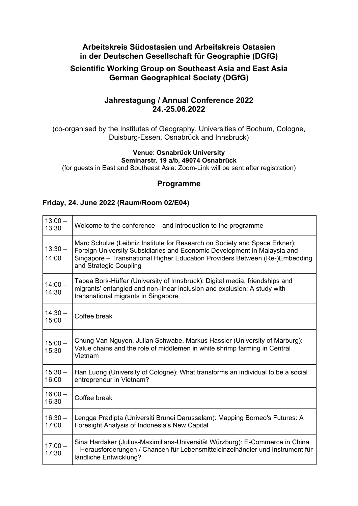# **Arbeitskreis Südostasien und Arbeitskreis Ostasien in der Deutschen Gesellschaft für Geographie (DGfG)**

# **Scientific Working Group on Southeast Asia and East Asia German Geographical Society (DGfG)**

# **Jahrestagung / Annual Conference 2022 24.-25.06.2022**

(co-organised by the Institutes of Geography, Universities of Bochum, Cologne, Duisburg-Essen, Osnabrück and Innsbruck)

### **Venue**: **Osnabrück University Seminarstr. 19 a/b, 49074 Osnabrück**

(for guests in East and Southeast Asia: Zoom-Link will be sent after registration)

# **Programme**

# **Friday, 24. June 2022 (Raum/Room 02/E04)**

| $13:00 -$<br>13:30 | Welcome to the conference $-$ and introduction to the programme                                                                                                                                                                                                 |
|--------------------|-----------------------------------------------------------------------------------------------------------------------------------------------------------------------------------------------------------------------------------------------------------------|
| $13:30 -$<br>14:00 | Marc Schulze (Leibniz Institute for Research on Society and Space Erkner):<br>Foreign University Subsidiaries and Economic Development in Malaysia and<br>Singapore - Transnational Higher Education Providers Between (Re-)Embedding<br>and Strategic Coupling |
| $14:00 -$<br>14:30 | Tabea Bork-Hüffer (University of Innsbruck): Digital media, friendships and<br>migrants' entangled and non-linear inclusion and exclusion: A study with<br>transnational migrants in Singapore                                                                  |
| $14:30 -$<br>15:00 | Coffee break                                                                                                                                                                                                                                                    |
| $15:00 -$<br>15:30 | Chung Van Nguyen, Julian Schwabe, Markus Hassler (University of Marburg):<br>Value chains and the role of middlemen in white shrimp farming in Central<br>Vietnam                                                                                               |
| $15:30 -$<br>16:00 | Han Luong (University of Cologne): What transforms an individual to be a social<br>entrepreneur in Vietnam?                                                                                                                                                     |
| $16:00 -$<br>16:30 | Coffee break                                                                                                                                                                                                                                                    |
| $16:30 -$<br>17:00 | Lengga Pradipta (Universiti Brunei Darussalam): Mapping Borneo's Futures: A<br>Foresight Analysis of Indonesia's New Capital                                                                                                                                    |
| $17:00 -$<br>17:30 | Sina Hardaker (Julius-Maximilians-Universität Würzburg): E-Commerce in China<br>- Herausforderungen / Chancen für Lebensmitteleinzelhändler und Instrument für<br>ländliche Entwicklung?                                                                        |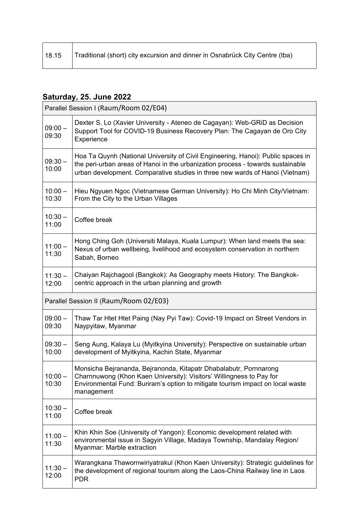| 18.15 | Traditional (short) city excursion and dinner in Osnabrück City Centre (tba) |
|-------|------------------------------------------------------------------------------|
|-------|------------------------------------------------------------------------------|

 $\overline{\phantom{0}}$ 

# **Saturday, 25. June 2022**

| Parallel Session I (Raum/Room 02/E04)  |                                                                                                                                                                                                                                                     |  |
|----------------------------------------|-----------------------------------------------------------------------------------------------------------------------------------------------------------------------------------------------------------------------------------------------------|--|
| $09:00 -$<br>09:30                     | Dexter S. Lo (Xavier University - Ateneo de Cagayan): Web-GRID as Decision<br>Support Tool for COVID-19 Business Recovery Plan: The Cagayan de Oro City<br>Experience                                                                               |  |
| $09:30 -$<br>10:00                     | Hoa Ta Quynh (National University of Civil Engineering, Hanoi): Public spaces in<br>the peri-urban areas of Hanoi in the urbanization process - towards sustainable<br>urban development. Comparative studies in three new wards of Hanoi (Vietnam) |  |
| $10:00 -$<br>10:30                     | Hieu Ngyuen Ngoc (Vietnamese German University): Ho Chi Minh City/Vietnam:<br>From the City to the Urban Villages                                                                                                                                   |  |
| $10:30 -$<br>11:00                     | Coffee break                                                                                                                                                                                                                                        |  |
| $11:00 -$<br>11:30                     | Hong Ching Goh (Universiti Malaya, Kuala Lumpur): When land meets the sea:<br>Nexus of urban wellbeing, livelihood and ecosystem conservation in northern<br>Sabah, Borneo                                                                          |  |
| $11:30 -$<br>12:00                     | Chaiyan Rajchagool (Bangkok): As Geography meets History: The Bangkok-<br>centric approach in the urban planning and growth                                                                                                                         |  |
| Parallel Session II (Raum/Room 02/E03) |                                                                                                                                                                                                                                                     |  |
| $09:00 -$<br>09:30                     | Thaw Tar Htet Htet Paing (Nay Pyi Taw): Covid-19 Impact on Street Vendors in<br>Naypyitaw, Myanmar                                                                                                                                                  |  |
| $09:30 -$<br>10:00                     | Seng Aung, Kalaya Lu (Myitkyina University): Perspective on sustainable urban<br>development of Myitkyina, Kachin State, Myanmar                                                                                                                    |  |
| $10:00 -$<br>10:30                     | Monsicha Bejrananda, Bejranonda, Kitapatr Dhabalabutr, Pornnarong<br>Charnnuwong (Khon Kaen University): Visitors' Willingness to Pay for<br>Environmental Fund: Buriram's option to mitigate tourism impact on local waste<br>management           |  |
| $10:30 -$<br>11:00                     | Coffee break                                                                                                                                                                                                                                        |  |
| $11:00 -$<br>11:30                     | Khin Khin Soe (University of Yangon): Economic development related with<br>environmental issue in Sagyin Village, Madaya Township, Mandalay Region/<br>Myanmar: Marble extraction                                                                   |  |
| $11:30 -$<br>12:00                     | Warangkana Thawornwiriyatrakul (Khon Kaen University): Strategic guidelines for<br>the development of regional tourism along the Laos-China Railway line in Laos<br><b>PDR</b>                                                                      |  |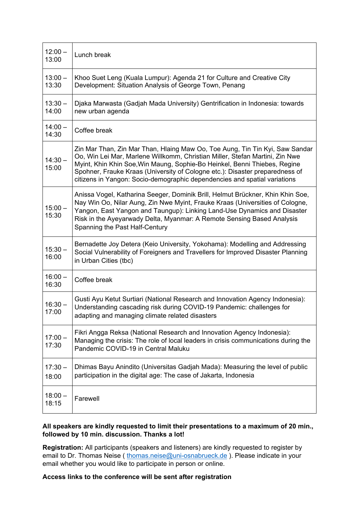| $12:00 -$<br>13:00 | Lunch break                                                                                                                                                                                                                                                                                                                                                                                            |
|--------------------|--------------------------------------------------------------------------------------------------------------------------------------------------------------------------------------------------------------------------------------------------------------------------------------------------------------------------------------------------------------------------------------------------------|
| $13:00 -$<br>13:30 | Khoo Suet Leng (Kuala Lumpur): Agenda 21 for Culture and Creative City<br>Development: Situation Analysis of George Town, Penang                                                                                                                                                                                                                                                                       |
| $13:30 -$<br>14:00 | Djaka Marwasta (Gadjah Mada University) Gentrification in Indonesia: towards<br>new urban agenda                                                                                                                                                                                                                                                                                                       |
| $14:00 -$<br>14:30 | Coffee break                                                                                                                                                                                                                                                                                                                                                                                           |
| $14:30 -$<br>15:00 | Zin Mar Than, Zin Mar Than, Hlaing Maw Oo, Toe Aung, Tin Tin Kyi, Saw Sandar<br>Oo, Win Lei Mar, Marlene Willkomm, Christian Miller, Stefan Martini, Zin Nwe<br>Myint, Khin Khin Soe, Win Maung, Sophie-Bo Heinkel, Benni Thiebes, Regine<br>Spohner, Frauke Kraas (University of Cologne etc.): Disaster preparedness of<br>citizens in Yangon: Socio-demographic dependencies and spatial variations |
| $15:00 -$<br>15:30 | Anissa Vogel, Katharina Seeger, Dominik Brill, Helmut Brückner, Khin Khin Soe,<br>Nay Win Oo, Nilar Aung, Zin Nwe Myint, Frauke Kraas (Universities of Cologne,<br>Yangon, East Yangon and Taungup): Linking Land-Use Dynamics and Disaster<br>Risk in the Ayeyarwady Delta, Myanmar: A Remote Sensing Based Analysis<br>Spanning the Past Half-Century                                                |
| $15:30 -$<br>16:00 | Bernadette Joy Detera (Keio University, Yokohama): Modelling and Addressing<br>Social Vulnerability of Foreigners and Travellers for Improved Disaster Planning<br>in Urban Cities (tbc)                                                                                                                                                                                                               |
| $16:00 -$<br>16:30 | Coffee break                                                                                                                                                                                                                                                                                                                                                                                           |
| $16:30 -$<br>17:00 | Gusti Ayu Ketut Surtiari (National Research and Innovation Agency Indonesia):<br>Understanding cascading risk during COVID-19 Pandemic: challenges for<br>adapting and managing climate related disasters                                                                                                                                                                                              |
| $17:00 -$<br>17:30 | Fikri Angga Reksa (National Research and Innovation Agency Indonesia):<br>Managing the crisis: The role of local leaders in crisis communications during the<br>Pandemic COVID-19 in Central Maluku                                                                                                                                                                                                    |
| $17:30 -$<br>18:00 | Dhimas Bayu Anindito (Universitas Gadjah Mada): Measuring the level of public<br>participation in the digital age: The case of Jakarta, Indonesia                                                                                                                                                                                                                                                      |
| $18:00 -$<br>18:15 | Farewell                                                                                                                                                                                                                                                                                                                                                                                               |

## **All speakers are kindly requested to limit their presentations to a maximum of 20 min., followed by 10 min. discussion. Thanks a lot!**

**Registration:** All participants (speakers and listeners) are kindly requested to register by email to Dr. Thomas Neise ( thomas.neise@uni-osnabrueck.de ). Please indicate in your email whether you would like to participate in person or online.

## **Access links to the conference will be sent after registration**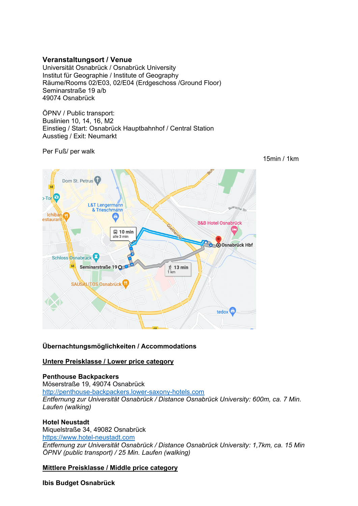# **Veranstaltungsort / Venue**

Universität Osnabrück / Osnabrück University Institut für Geographie / Institute of Geography Räume/Rooms 02/E03, 02/E04 (Erdgeschoss /Ground Floor) Seminarstraße 19 a/b 49074 Osnabrück

ÖPNV / Public transport: Buslinien 10, 14, 16, M2 Einstieg / Start: Osnabrück Hauptbahnhof / Central Station Ausstieg / Exit: Neumarkt

Per Fuß/ per walk



**Übernachtungsmöglichkeiten / Accommodations** 

## **Untere Preisklasse / Lower price category**

### **Penthouse Backpackers**

Möserstraße 19, 49074 Osnabrück http://penthouse-backpackers.lower-saxony-hotels.com *Entfernung zur Universität Osnabrück / Distance Osnabrück University: 600m, ca. 7 Min. Laufen (walking)* 

### **Hotel Neustadt**

Miquelstraße 34, 49082 Osnabrück https://www.hotel-neustadt.com *Entfernung zur Universität Osnabrück / Distance Osnabrück University: 1,7km, ca. 15 Min ÖPNV (public transport) / 25 Min. Laufen (walking)* 

**Mittlere Preisklasse / Middle price category** 

**Ibis Budget Osnabrück** 

15min / 1km